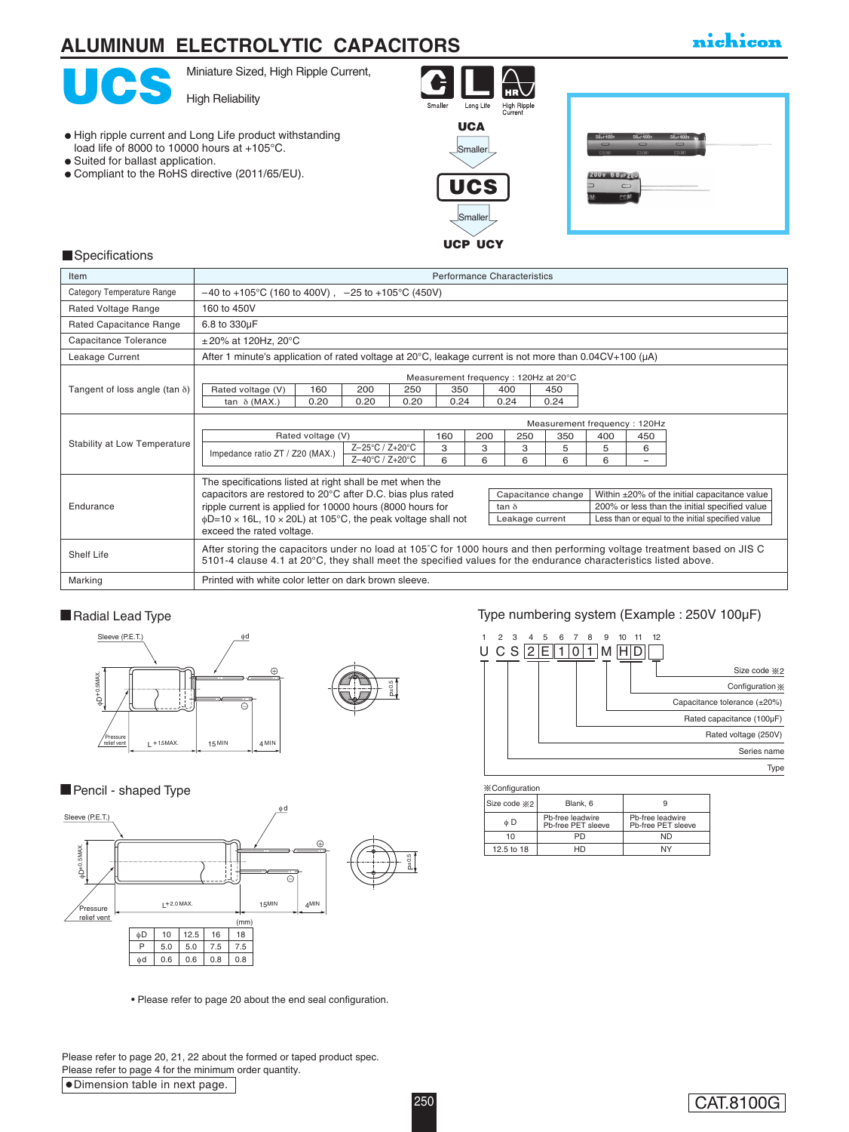## **ALUMINUM ELECTROLYTIC CAPACITORS**

## nichicon



Suited for ballast application.

Miniature Sized, High Ripple Current,

 $\bullet$  High ripple current and Long Life product withstanding load life of 8000 to 10000 hours at +105°C.

● Compliant to the RoHS directive (2011/65/EU).



**UCS** 

UCP UCY Smaller



#### **Specifications**

| Item                                  | <b>Performance Characteristics</b>                                                                                                                                                                                                         |                                                                                                                         |      |      |                                      |     |                                              |              |      |                          |                                               |  |  |
|---------------------------------------|--------------------------------------------------------------------------------------------------------------------------------------------------------------------------------------------------------------------------------------------|-------------------------------------------------------------------------------------------------------------------------|------|------|--------------------------------------|-----|----------------------------------------------|--------------|------|--------------------------|-----------------------------------------------|--|--|
| Category Temperature Range            | $-40$ to +105°C (160 to 400V), $-25$ to +105°C (450V)                                                                                                                                                                                      |                                                                                                                         |      |      |                                      |     |                                              |              |      |                          |                                               |  |  |
| Rated Voltage Range                   | 160 to 450V                                                                                                                                                                                                                                |                                                                                                                         |      |      |                                      |     |                                              |              |      |                          |                                               |  |  |
| Rated Capacitance Range               | 6.8 to 330µF                                                                                                                                                                                                                               |                                                                                                                         |      |      |                                      |     |                                              |              |      |                          |                                               |  |  |
| Capacitance Tolerance                 |                                                                                                                                                                                                                                            | $\pm 20\%$ at 120Hz, 20°C                                                                                               |      |      |                                      |     |                                              |              |      |                          |                                               |  |  |
| Leakage Current                       |                                                                                                                                                                                                                                            | After 1 minute's application of rated voltage at 20 $\degree$ C, leakage current is not more than 0.04CV+100 ( $\mu$ A) |      |      |                                      |     |                                              |              |      |                          |                                               |  |  |
|                                       |                                                                                                                                                                                                                                            |                                                                                                                         |      |      | Measurement frequency: 120Hz at 20°C |     |                                              |              |      |                          |                                               |  |  |
| Tangent of loss angle (tan $\delta$ ) | Rated voltage (V)                                                                                                                                                                                                                          | 160                                                                                                                     | 200  | 250  |                                      | 350 |                                              | 450<br>400   |      |                          |                                               |  |  |
|                                       | tan $\delta$ (MAX.)                                                                                                                                                                                                                        | 0.20                                                                                                                    | 0.20 | 0.20 | 0.24                                 |     | 0.24                                         |              | 0.24 |                          |                                               |  |  |
|                                       | Measurement frequency: 120Hz                                                                                                                                                                                                               |                                                                                                                         |      |      |                                      |     |                                              |              |      |                          |                                               |  |  |
|                                       |                                                                                                                                                                                                                                            | Rated voltage (V)                                                                                                       |      |      | 160                                  | 200 |                                              | 250          | 350  | 400                      | 450                                           |  |  |
| Stability at Low Temperature          | Impedance ratio ZT / Z20 (MAX.)                                                                                                                                                                                                            | Z-25°C / Z+20°C                                                                                                         |      | 3    | 3                                    |     | З                                            | 5            | 5    | 6                        |                                               |  |  |
|                                       |                                                                                                                                                                                                                                            | $Z - 40^{\circ}C / Z + 20^{\circ}C$                                                                                     |      | 6    | 6                                    |     | 6                                            | 6            | 6    | $\overline{\phantom{a}}$ |                                               |  |  |
|                                       | The specifications listed at right shall be met when the                                                                                                                                                                                   |                                                                                                                         |      |      |                                      |     |                                              |              |      |                          |                                               |  |  |
|                                       | capacitors are restored to 20°C after D.C. bias plus rated                                                                                                                                                                                 |                                                                                                                         |      |      | Capacitance change                   |     | Within ±20% of the initial capacitance value |              |      |                          |                                               |  |  |
| Endurance                             | ripple current is applied for 10000 hours (8000 hours for                                                                                                                                                                                  |                                                                                                                         |      |      |                                      |     |                                              | tan $\delta$ |      |                          | 200% or less than the initial specified value |  |  |
|                                       | Less than or equal to the initial specified value<br>$\phi$ D=10 x 16L, 10 x 20L) at 105°C, the peak voltage shall not<br>Leakage current                                                                                                  |                                                                                                                         |      |      |                                      |     |                                              |              |      |                          |                                               |  |  |
|                                       | exceed the rated voltage.                                                                                                                                                                                                                  |                                                                                                                         |      |      |                                      |     |                                              |              |      |                          |                                               |  |  |
| Shelf Life                            | After storing the capacitors under no load at 105°C for 1000 hours and then performing voltage treatment based on JIS C<br>5101-4 clause 4.1 at 20°C, they shall meet the specified values for the endurance characteristics listed above. |                                                                                                                         |      |      |                                      |     |                                              |              |      |                          |                                               |  |  |
| Marking                               | Printed with white color letter on dark brown sleeve.                                                                                                                                                                                      |                                                                                                                         |      |      |                                      |     |                                              |              |      |                          |                                               |  |  |

#### Radial Lead Type



#### Pencil - shaped Type



• Please refer to page 20 about the end seal configuration.

Dimension table in next page. Please refer to page 20, 21, 22 about the formed or taped product spec. Please refer to page 4 for the minimum order quantity.

#### Type numbering system (Example : 250V 100µF)



Configuration

| Size code *2 | Blank, 6                               | 9                                      |  |  |  |  |
|--------------|----------------------------------------|----------------------------------------|--|--|--|--|
| òD           | Pb-free leadwire<br>Ph-free PET sleeve | Pb-free leadwire<br>Ph-free PET sleeve |  |  |  |  |
| 10           | PD                                     | <b>ND</b>                              |  |  |  |  |
| 12.5 to 18   | HD                                     | NY                                     |  |  |  |  |

250